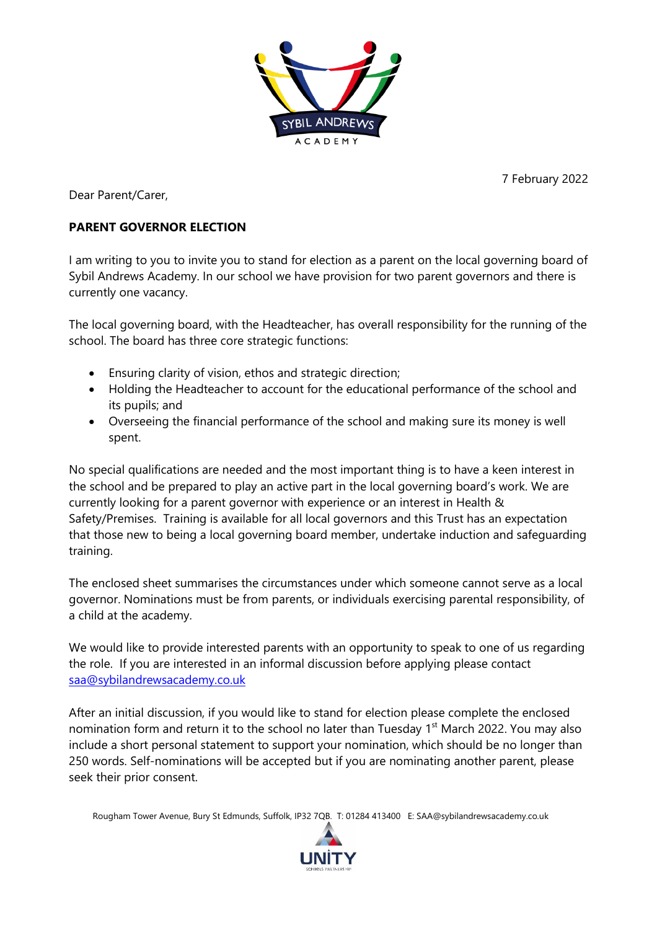

7 February 2022

Dear Parent/Carer,

## **PARENT GOVERNOR ELECTION**

I am writing to you to invite you to stand for election as a parent on the local governing board of Sybil Andrews Academy. In our school we have provision for two parent governors and there is currently one vacancy.

The local governing board, with the Headteacher, has overall responsibility for the running of the school. The board has three core strategic functions:

- Ensuring clarity of vision, ethos and strategic direction;
- Holding the Headteacher to account for the educational performance of the school and its pupils; and
- Overseeing the financial performance of the school and making sure its money is well spent.

No special qualifications are needed and the most important thing is to have a keen interest in the school and be prepared to play an active part in the local governing board's work. We are currently looking for a parent governor with experience or an interest in Health & Safety/Premises. Training is available for all local governors and this Trust has an expectation that those new to being a local governing board member, undertake induction and safeguarding training.

The enclosed sheet summarises the circumstances under which someone cannot serve as a local governor. Nominations must be from parents, or individuals exercising parental responsibility, of a child at the academy.

We would like to provide interested parents with an opportunity to speak to one of us regarding the role. If you are interested in an informal discussion before applying please contact [saa@sybilandrewsacademy.co.uk](mailto:saa@sybilandrewsacademy.co.uk)

After an initial discussion, if you would like to stand for election please complete the enclosed nomination form and return it to the school no later than Tuesday 1<sup>st</sup> March 2022. You may also include a short personal statement to support your nomination, which should be no longer than 250 words. Self-nominations will be accepted but if you are nominating another parent, please seek their prior consent.

Rougham Tower Avenue, Bury St Edmunds, Suffolk, IP32 7QB. T: 01284 413400 E: SAA@sybilandrewsacademy.co.uk